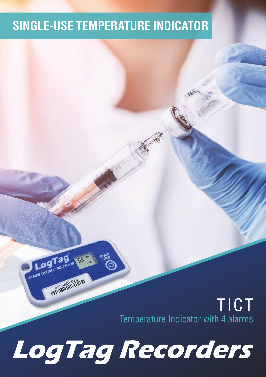#### **SINGLE-USE TEMPERATURE INDICATOR**

TICT Temperature Indicator with 4 alarms

# **LogTag Recorders**

Tag

NATIONAL PROPERTY

**LOSTABLE INDICATOR** 

**A**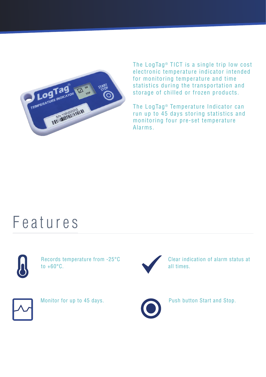

The LogTag $<sup>®</sup>$  TICT is a single trip low cost</sup> electronic temperature indicator intended for monitoring temperature and time statistics during the transportation and storage of chilled or frozen products.

The LogTag<sup>®</sup> Temperature Indicator can run up to 45 days storing statistics and monitoring four pre-set temperature Alarms.

### Features



Records temperature from -25°C to  $+60^{\circ}$ C.



Clear indication of alarm status at all times.



Monitor for up to 45 days.



Push button Start and Stop.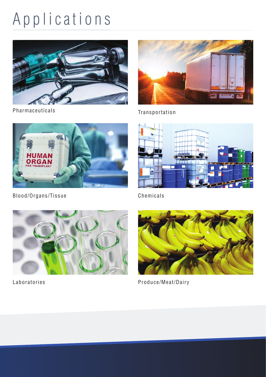## Applications



Pharmaceuticals



Transportation



Chemicals







Laboratories **Produce/Meat/Dairy**